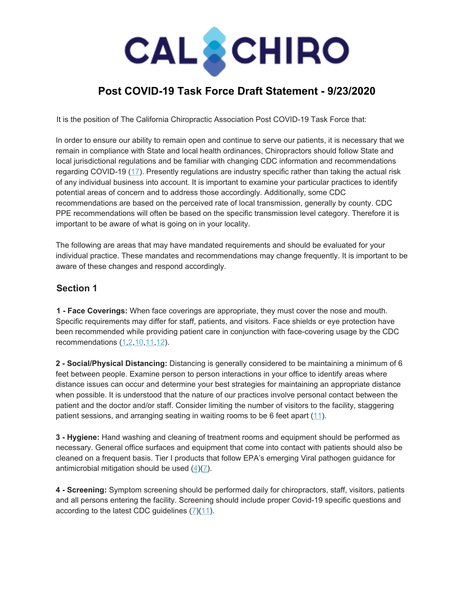# **CAL CHIRO**

# **Post COVID-19 Task Force Draft Statement - 9/23/2020**

It is the position of The California Chiropractic Association Post COVID-19 Task Force that:

In order to ensure our ability to remain open and continue to serve our patients, it is necessary that we remain in compliance with State and local health ordinances, Chiropractors should follow State and local jurisdictional regulations and be familiar with changing CDC information and recommendations regarding COVID-19 ([17\)](https://www.cdc.gov/coronavirus/2019-ncov/index.html). Presently regulations are industry specific rather than taking the actual risk of any individual business into account. It is important to examine your particular practices to identify potential areas of concern and to address those accordingly. Additionally, some CDC recommendations are based on the perceived rate of local transmission, generally by county. CDC PPE recommendations will often be based on the specific transmission level category. Therefore it is important to be aware of what is going on in your locality.

The following are areas that may have mandated requirements and should be evaluated for your individual practice. These mandates and recommendations may change frequently. It is important to be aware of these changes and respond accordingly.

## **Section 1**

**1 - Face Coverings:** When face coverings are appropriate, they must cover the nose and mouth. Specific requirements may differ for staff, patients, and visitors. Face shields or eye protection have been recommended while providing patient care in conjunction with face-covering usage by the CDC recommendations ([1,](https://www.cdph.ca.gov/Programs/CID/DCDC/CDPH%20Document%20Library/COVID-19/Guidance-for-Face-Coverings_06-18-2020.pdf)[2,](https://www.cdc.gov/hai/pdfs/ppe/PPEslides6-29-04.pdf)[10](https://www.sandiegocounty.gov/content/dam/sdc/hhsa/programs/phs/Epidemiology/HealthOfficerOrderCOVID19.pdf)[,11,](https://www.cdc.gov/coronavirus/2019-ncov/hcp/infection-control-recommendations.html)[12\)](http://omls.oregon.gov/pipermail/obce_publication/2020/000032.html).

**2 - Social/Physical Distancing:** Distancing is generally considered to be maintaining a minimum of 6 feet between people. Examine person to person interactions in your office to identify areas where distance issues can occur and determine your best strategies for maintaining an appropriate distance when possible. It is understood that the nature of our practices involve personal contact between the patient and the doctor and/or staff. Consider limiting the number of visitors to the facility, staggering patient sessions, and arranging seating in waiting rooms to be 6 feet apart ([11\)](https://www.cdc.gov/coronavirus/2019-ncov/hcp/infection-control-recommendations.html).

**3 - Hygiene:** Hand washing and cleaning of treatment rooms and equipment should be performed as necessary. General office surfaces and equipment that come into contact with patients should also be cleaned on a frequent basis. Tier I products that follow EPA's emerging Viral pathogen guidance for antimicrobial mitigation should be used [\(4](https://www.americanchemistry.com/Novel-Coronavirus-Fighting-Products-List.pdf?mod=article_inline))[\(7](https://www.cdc.gov/coronavirus/2019-ncov/prevent-getting-sick/prevention.html)).

**4 - Screening:** Symptom screening should be performed daily for chiropractors, staff, visitors, patients and all persons entering the facility. Screening should include proper Covid-19 specific questions and according to the latest CDC guidelines [\(7\)](https://www.cdc.gov/coronavirus/2019-ncov/prevent-getting-sick/prevention.html)([11\)](https://www.cdc.gov/coronavirus/2019-ncov/hcp/infection-control-recommendations.html).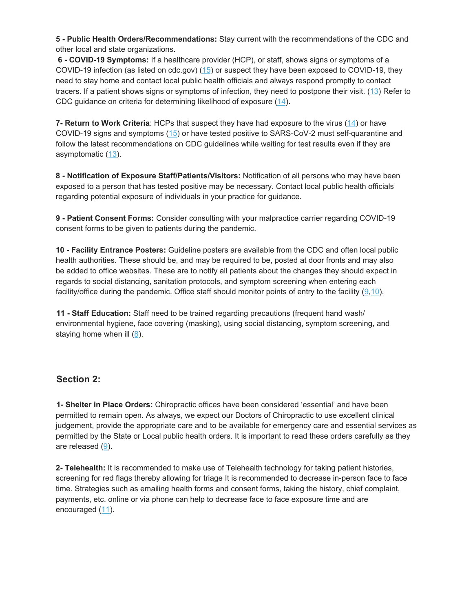**5 - Public Health Orders/Recommendations:** Stay current with the recommendations of the CDC and other local and state organizations.

**6 - COVID-19 Symptoms:** If a healthcare provider (HCP), or staff, shows signs or symptoms of a COVID-19 infection (as listed on cdc.gov) ([15\)](https://www.cdc.gov/coronavirus/2019-ncov/symptoms-testing/symptoms.html) or suspect they have been exposed to COVID-19, they need to stay home and contact local public health officials and always respond promptly to contact tracers. If a patient shows signs or symptoms of infection, they need to postpone their visit. ([13](https://www.cdc.gov/coronavirus/2019-ncov/hcp/return-to-work.html?CDC_AA_refVal=https%3A%2F%2Fwww.c%20dc.gov%2Fcoronavirus%2F2019-ncov%2Fhealthcare-facilities%2Fhcp-return-work.html)) Refer to CDC guidance on criteria for determining likelihood of exposure ([14](https://www.cdc.gov/coronavirus/2019-ncov/php/public-health-recommendations.html)).

**7- Return to Work Criteria**: HCPs that suspect they have had exposure to the virus [\(14](https://www.cdc.gov/coronavirus/2019-ncov/php/public-health-recommendations.html)) or have COVID-19 signs and symptoms [\(15\)](https://www.cdc.gov/coronavirus/2019-ncov/symptoms-testing/symptoms.html) or have tested positive to SARS-CoV-2 must self-quarantine and follow the latest recommendations on CDC guidelines while waiting for test results even if they are asymptomatic [\(13\)](https://www.cdc.gov/coronavirus/2019-ncov/hcp/return-to-work.html?CDC_AA_refVal=https%3A%2F%2Fwww.c%20dc.gov%2Fcoronavirus%2F2019-ncov%2Fhealthcare-facilities%2Fhcp-return-work.html).

**8 - Notification of Exposure Staff/Patients/Visitors:** Notification of all persons who may have been exposed to a person that has tested positive may be necessary. Contact local public health officials regarding potential exposure of individuals in your practice for guidance.

**9 - Patient Consent Forms:** Consider consulting with your malpractice carrier regarding COVID-19 consent forms to be given to patients during the pandemic.

**10 - Facility Entrance Posters:** Guideline posters are available from the CDC and often local public health authorities. These should be, and may be required to be, posted at door fronts and may also be added to office websites. These are to notify all patients about the changes they should expect in regards to social distancing, sanitation protocols, and symptom screening when entering each facility/office during the pandemic. Office staff should monitor points of entry to the facility ([9](https://chiromt.biomedcentral.com/articles/10.1186/s12998-020-00333-6)[,10](https://www.sandiegocounty.gov/content/dam/sdc/hhsa/programs/phs/Epidemiology/HealthOfficerOrderCOVID19.pdf)).

**11 - Staff Education:** Staff need to be trained regarding precautions (frequent hand wash/ environmental hygiene, face covering (masking), using social distancing, symptom screening, and staying home when ill ([8](https://www.osha.gov/Publications/OSHA3990.pdf)).

#### **Section 2:**

**1- Shelter in Place Orders:** Chiropractic offices have been considered 'essential' and have been permitted to remain open. As always, we expect our Doctors of Chiropractic to use excellent clinical judgement, provide the appropriate care and to be available for emergency care and essential services as permitted by the State or Local public health orders. It is important to read these orders carefully as they are released ([9\)](https://chiromt.biomedcentral.com/articles/10.1186/s12998-020-00333-6).

**2- Telehealth:** It is recommended to make use of Telehealth technology for taking patient histories, screening for red flags thereby allowing for triage It is recommended to decrease in-person face to face time. Strategies such as emailing health forms and consent forms, taking the history, chief complaint, payments, etc. online or via phone can help to decrease face to face exposure time and are encouraged [\(11](https://www.cdc.gov/coronavirus/2019-ncov/hcp/infection-control-recommendations.html)).